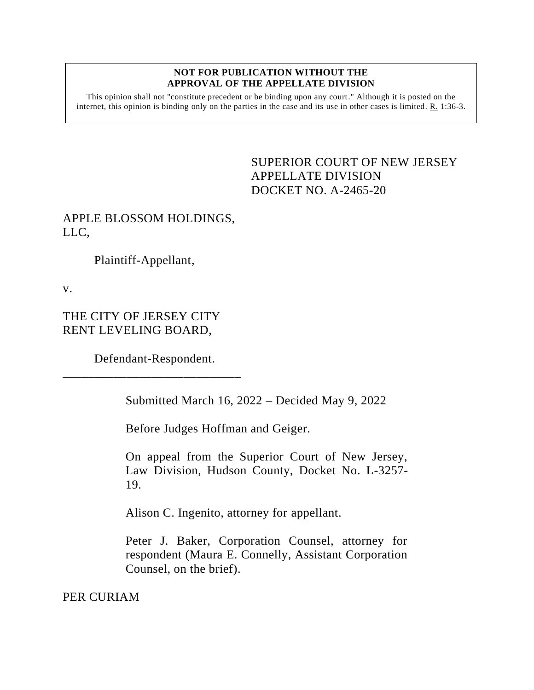## **NOT FOR PUBLICATION WITHOUT THE APPROVAL OF THE APPELLATE DIVISION**

This opinion shall not "constitute precedent or be binding upon any court." Although it is posted on the internet, this opinion is binding only on the parties in the case and its use in other cases is limited. R. 1:36-3.

> <span id="page-0-0"></span>SUPERIOR COURT OF NEW JERSEY APPELLATE DIVISION DOCKET NO. A-2465-20

## APPLE BLOSSOM HOLDINGS, LLC,

Plaintiff-Appellant,

v.

THE CITY OF JERSEY CITY RENT LEVELING BOARD,

Defendant-Respondent. \_\_\_\_\_\_\_\_\_\_\_\_\_\_\_\_\_\_\_\_\_\_\_\_\_\_\_\_

Submitted March 16, 2022 – Decided May 9, 2022

Before Judges Hoffman and Geiger.

On appeal from the Superior Court of New Jersey, Law Division, Hudson County, Docket No. L-3257- 19.

Alison C. Ingenito, attorney for appellant.

Peter J. Baker, Corporation Counsel, attorney for respondent (Maura E. Connelly, Assistant Corporation Counsel, on the brief).

PER CURIAM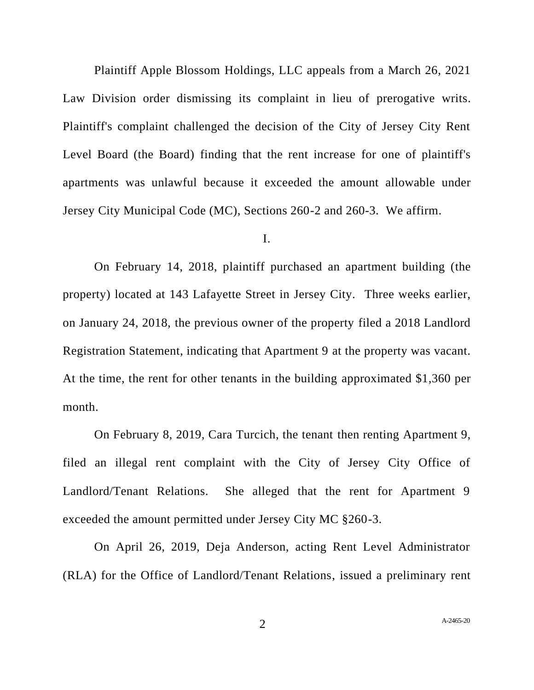Plaintiff Apple Blossom Holdings, LLC appeals from a March 26, 2021 Law Division order dismissing its complaint in lieu of prerogative writs. Plaintiff's complaint challenged the decision of the City of Jersey City Rent Level Board (the Board) finding that the rent increase for one of plaintiff's apartments was unlawful because it exceeded the amount allowable under Jersey City Municipal Code (MC), Sections 260-2 and 260-3. We affirm.

## I.

On February 14, 2018, plaintiff purchased an apartment building (the property) located at 143 Lafayette Street in Jersey City. Three weeks earlier, on January 24, 2018, the previous owner of the property filed a 2018 Landlord Registration Statement, indicating that Apartment 9 at the property was vacant. At the time, the rent for other tenants in the building approximated \$1,360 per month.

On February 8, 2019, Cara Turcich, the tenant then renting Apartment 9, filed an illegal rent complaint with the City of Jersey City Office of Landlord/Tenant Relations. She alleged that the rent for Apartment 9 exceeded the amount permitted under Jersey City MC §260-3.

On April 26, 2019, Deja Anderson, acting Rent Level Administrator (RLA) for the Office of Landlord/Tenant Relations, issued a preliminary rent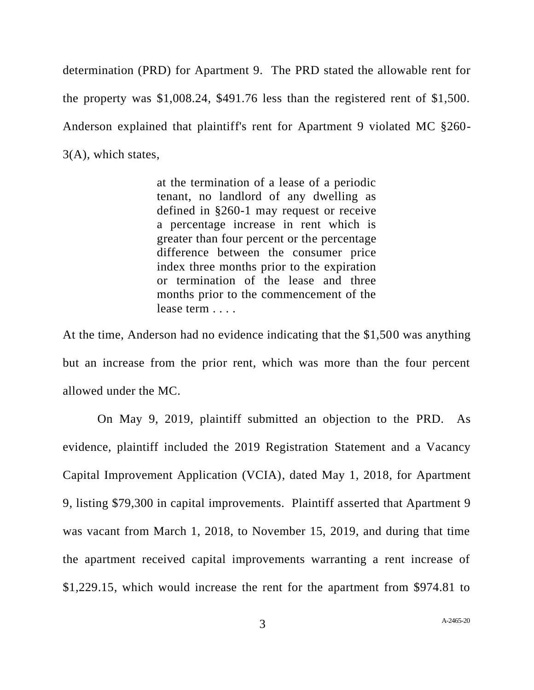determination (PRD) for Apartment 9. The PRD stated the allowable rent for the property was \$1,008.24, \$491.76 less than the registered rent of \$1,500. Anderson explained that plaintiff's rent for Apartment 9 violated MC §260- 3(A), which states,

> at the termination of a lease of a periodic tenant, no landlord of any dwelling as defined in §260-1 may request or receive a percentage increase in rent which is greater than four percent or the percentage difference between the consumer price index three months prior to the expiration or termination of the lease and three months prior to the commencement of the lease term . . . .

At the time, Anderson had no evidence indicating that the \$1,500 was anything but an increase from the prior rent, which was more than the four percent allowed under the MC.

On May 9, 2019, plaintiff submitted an objection to the PRD. As evidence, plaintiff included the 2019 Registration Statement and a Vacancy Capital Improvement Application (VCIA), dated May 1, 2018, for Apartment 9, listing \$79,300 in capital improvements. Plaintiff asserted that Apartment 9 was vacant from March 1, 2018, to November 15, 2019, and during that time the apartment received capital improvements warranting a rent increase of \$1,229.15, which would increase the rent for the apartment from \$974.81 to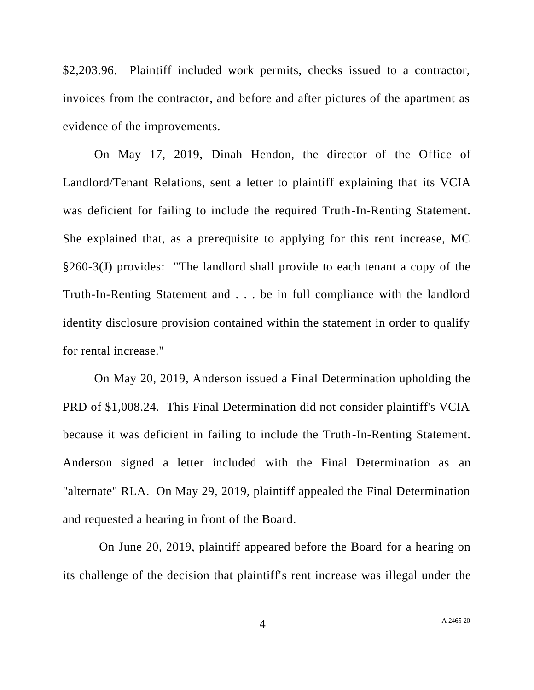\$2,203.96. Plaintiff included work permits, checks issued to a contractor, invoices from the contractor, and before and after pictures of the apartment as evidence of the improvements.

On May 17, 2019, Dinah Hendon, the director of the Office of Landlord/Tenant Relations, sent a letter to plaintiff explaining that its VCIA was deficient for failing to include the required Truth-In-Renting Statement. She explained that, as a prerequisite to applying for this rent increase, MC §260-3(J) provides: "The landlord shall provide to each tenant a copy of the Truth-In-Renting Statement and . . . be in full compliance with the landlord identity disclosure provision contained within the statement in order to qualify for rental increase."

On May 20, 2019, Anderson issued a Final Determination upholding the PRD of \$1,008.24. This Final Determination did not consider plaintiff's VCIA because it was deficient in failing to include the Truth-In-Renting Statement. Anderson signed a letter included with the Final Determination as an "alternate" RLA. On May 29, 2019, plaintiff appealed the Final Determination and requested a hearing in front of the Board.

 On June 20, 2019, plaintiff appeared before the Board for a hearing on its challenge of the decision that plaintiff's rent increase was illegal under the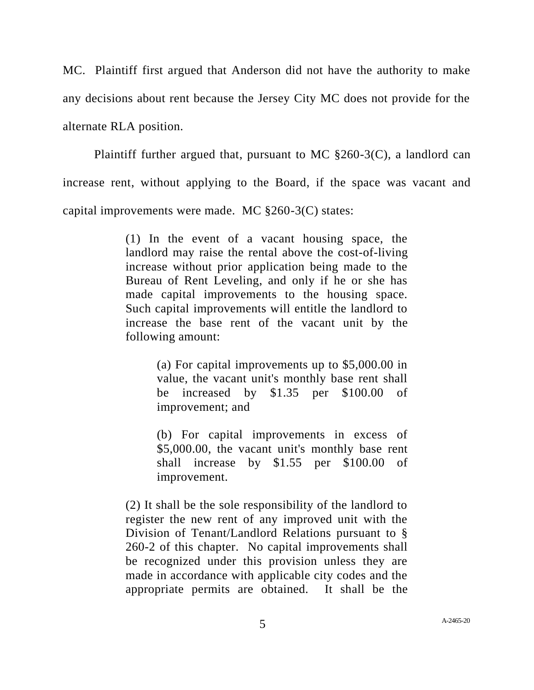MC. Plaintiff first argued that Anderson did not have the authority to make any decisions about rent because the Jersey City MC does not provide for the alternate RLA position.

Plaintiff further argued that, pursuant to MC §260-3(C), a landlord can increase rent, without applying to the Board, if the space was vacant and capital improvements were made. MC §260-3(C) states:

> (1) In the event of a vacant housing space, the landlord may raise the rental above the cost-of-living increase without prior application being made to the Bureau of Rent Leveling, and only if he or she has made capital improvements to the housing space. Such capital improvements will entitle the landlord to increase the base rent of the vacant unit by the following amount:

> > (a) For capital improvements up to \$5,000.00 in value, the vacant unit's monthly base rent shall be increased by \$1.35 per \$100.00 of improvement; and

> > (b) For capital improvements in excess of \$5,000.00, the vacant unit's monthly base rent shall increase by \$1.55 per \$100.00 of improvement.

(2) It shall be the sole responsibility of the landlord to register the new rent of any improved unit with the Division of Tenant/Landlord Relations pursuant to § 260-2 of this chapter. No capital improvements shall be recognized under this provision unless they are made in accordance with applicable city codes and the appropriate permits are obtained. It shall be the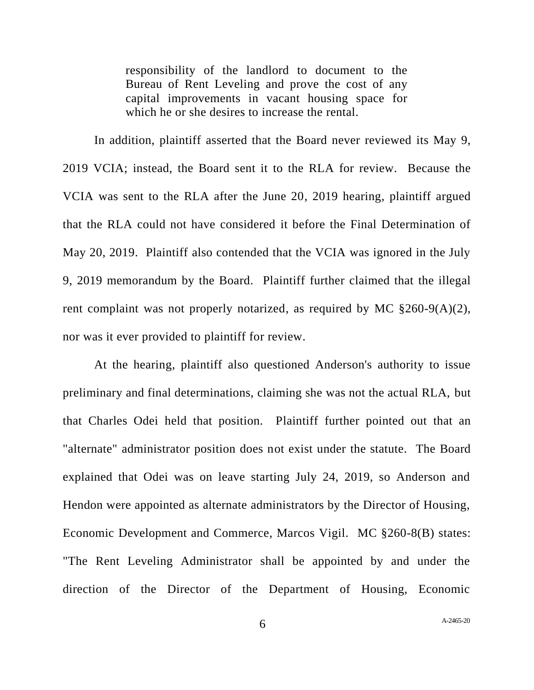responsibility of the landlord to document to the Bureau of Rent Leveling and prove the cost of any capital improvements in vacant housing space for which he or she desires to increase the rental.

In addition, plaintiff asserted that the Board never reviewed its May 9, 2019 VCIA; instead, the Board sent it to the RLA for review. Because the VCIA was sent to the RLA after the June 20, 2019 hearing, plaintiff argued that the RLA could not have considered it before the Final Determination of May 20, 2019. Plaintiff also contended that the VCIA was ignored in the July 9, 2019 memorandum by the Board. Plaintiff further claimed that the illegal rent complaint was not properly notarized, as required by MC  $\S260-9(A)(2)$ , nor was it ever provided to plaintiff for review.

At the hearing, plaintiff also questioned Anderson's authority to issue preliminary and final determinations, claiming she was not the actual RLA, but that Charles Odei held that position. Plaintiff further pointed out that an "alternate" administrator position does not exist under the statute. The Board explained that Odei was on leave starting July 24, 2019, so Anderson and Hendon were appointed as alternate administrators by the Director of Housing, Economic Development and Commerce, Marcos Vigil. MC §260-8(B) states: "The Rent Leveling Administrator shall be appointed by and under the direction of the Director of the Department of Housing, Economic

6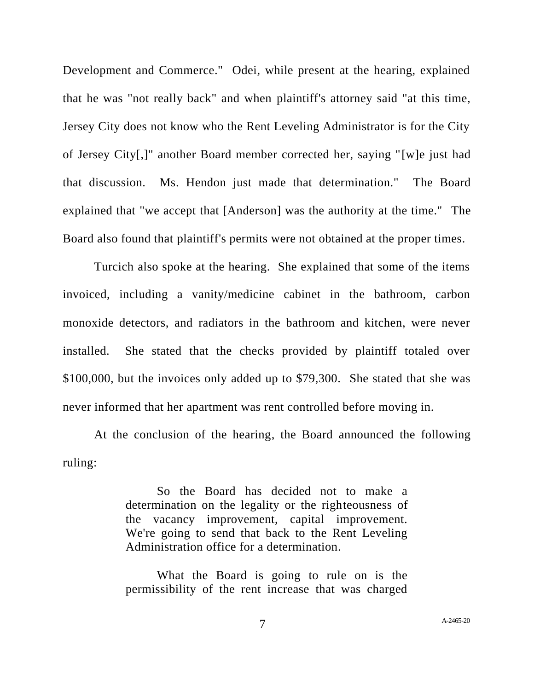Development and Commerce." Odei, while present at the hearing, explained that he was "not really back" and when plaintiff's attorney said "at this time, Jersey City does not know who the Rent Leveling Administrator is for the City of Jersey City[,]" another Board member corrected her, saying "[w]e just had that discussion. Ms. Hendon just made that determination." The Board explained that "we accept that [Anderson] was the authority at the time." The Board also found that plaintiff's permits were not obtained at the proper times.

Turcich also spoke at the hearing. She explained that some of the items invoiced, including a vanity/medicine cabinet in the bathroom, carbon monoxide detectors, and radiators in the bathroom and kitchen, were never installed. She stated that the checks provided by plaintiff totaled over \$100,000, but the invoices only added up to \$79,300. She stated that she was never informed that her apartment was rent controlled before moving in.

At the conclusion of the hearing, the Board announced the following ruling:

> So the Board has decided not to make a determination on the legality or the righteousness of the vacancy improvement, capital improvement. We're going to send that back to the Rent Leveling Administration office for a determination.

> What the Board is going to rule on is the permissibility of the rent increase that was charged

7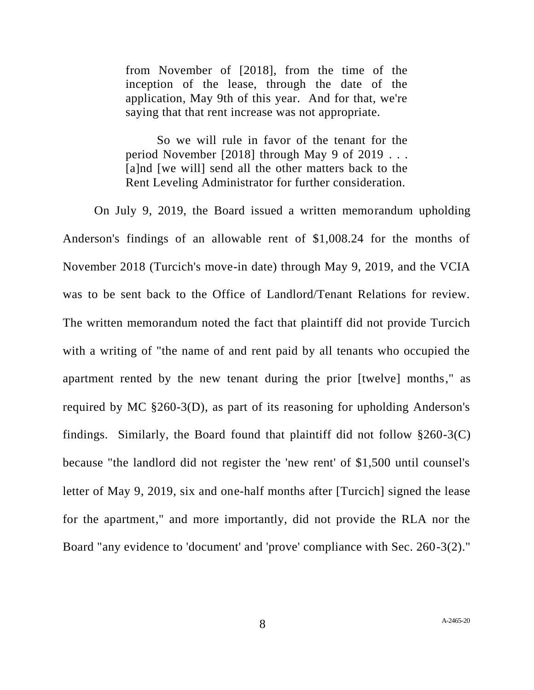from November of [2018], from the time of the inception of the lease, through the date of the application, May 9th of this year. And for that, we're saying that that rent increase was not appropriate.

So we will rule in favor of the tenant for the period November [2018] through May 9 of 2019 . . . [a]nd [we will] send all the other matters back to the Rent Leveling Administrator for further consideration.

On July 9, 2019, the Board issued a written memorandum upholding Anderson's findings of an allowable rent of \$1,008.24 for the months of November 2018 (Turcich's move-in date) through May 9, 2019, and the VCIA was to be sent back to the Office of Landlord/Tenant Relations for review. The written memorandum noted the fact that plaintiff did not provide Turcich with a writing of "the name of and rent paid by all tenants who occupied the apartment rented by the new tenant during the prior [twelve] months," as required by MC §260-3(D), as part of its reasoning for upholding Anderson's findings. Similarly, the Board found that plaintiff did not follow  $\S 260-3(C)$ because "the landlord did not register the 'new rent' of \$1,500 until counsel's letter of May 9, 2019, six and one-half months after [Turcich] signed the lease for the apartment," and more importantly, did not provide the RLA nor the Board "any evidence to 'document' and 'prove' compliance with Sec. 260-3(2)."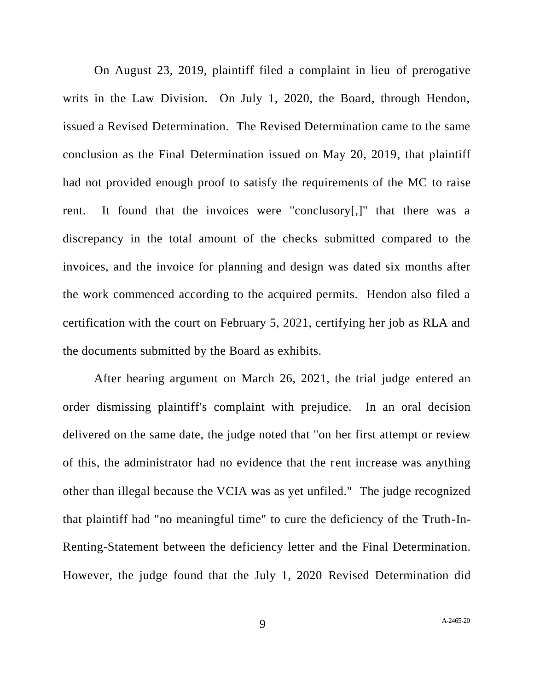On August 23, 2019, plaintiff filed a complaint in lieu of prerogative writs in the Law Division. On July 1, 2020, the Board, through Hendon, issued a Revised Determination. The Revised Determination came to the same conclusion as the Final Determination issued on May 20, 2019, that plaintiff had not provided enough proof to satisfy the requirements of the MC to raise rent. It found that the invoices were "conclusory[,]" that there was a discrepancy in the total amount of the checks submitted compared to the invoices, and the invoice for planning and design was dated six months after the work commenced according to the acquired permits. Hendon also filed a certification with the court on February 5, 2021, certifying her job as RLA and the documents submitted by the Board as exhibits.

After hearing argument on March 26, 2021, the trial judge entered an order dismissing plaintiff's complaint with prejudice. In an oral decision delivered on the same date, the judge noted that "on her first attempt or review of this, the administrator had no evidence that the rent increase was anything other than illegal because the VCIA was as yet unfiled." The judge recognized that plaintiff had "no meaningful time" to cure the deficiency of the Truth-In-Renting-Statement between the deficiency letter and the Final Determination. However, the judge found that the July 1, 2020 Revised Determination did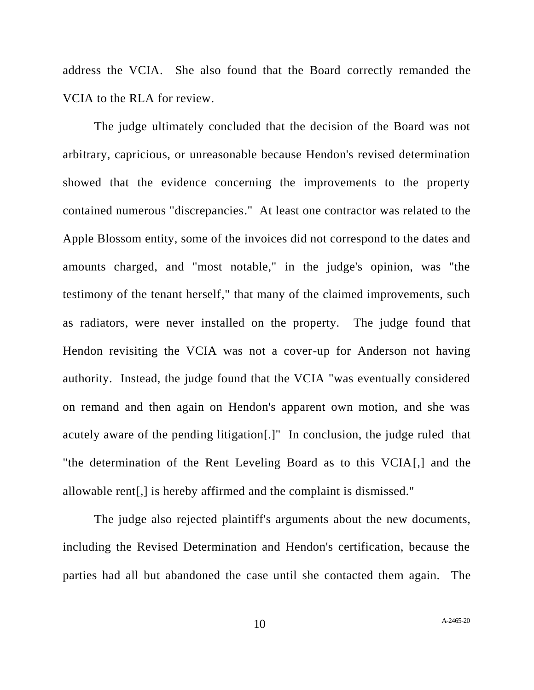address the VCIA. She also found that the Board correctly remanded the VCIA to the RLA for review.

The judge ultimately concluded that the decision of the Board was not arbitrary, capricious, or unreasonable because Hendon's revised determination showed that the evidence concerning the improvements to the property contained numerous "discrepancies." At least one contractor was related to the Apple Blossom entity, some of the invoices did not correspond to the dates and amounts charged, and "most notable," in the judge's opinion, was "the testimony of the tenant herself," that many of the claimed improvements, such as radiators, were never installed on the property. The judge found that Hendon revisiting the VCIA was not a cover-up for Anderson not having authority. Instead, the judge found that the VCIA "was eventually considered on remand and then again on Hendon's apparent own motion, and she was acutely aware of the pending litigation[.]" In conclusion, the judge ruled that "the determination of the Rent Leveling Board as to this VCIA[,] and the allowable rent[,] is hereby affirmed and the complaint is dismissed."

The judge also rejected plaintiff's arguments about the new documents, including the Revised Determination and Hendon's certification, because the parties had all but abandoned the case until she contacted them again. The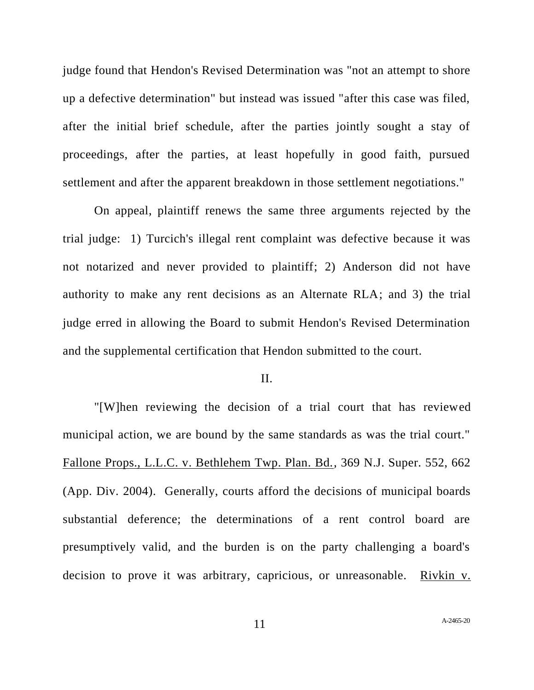judge found that Hendon's Revised Determination was "not an attempt to shore up a defective determination" but instead was issued "after this case was filed, after the initial brief schedule, after the parties jointly sought a stay of proceedings, after the parties, at least hopefully in good faith, pursued settlement and after the apparent breakdown in those settlement negotiations."

On appeal, plaintiff renews the same three arguments rejected by the trial judge: 1) Turcich's illegal rent complaint was defective because it was not notarized and never provided to plaintiff; 2) Anderson did not have authority to make any rent decisions as an Alternate RLA; and 3) the trial judge erred in allowing the Board to submit Hendon's Revised Determination and the supplemental certification that Hendon submitted to the court.

## II.

"[W]hen reviewing the decision of a trial court that has reviewed municipal action, we are bound by the same standards as was the trial court." Fallone Props., L.L.C. v. Bethlehem Twp. Plan. Bd., 369 N.J. Super. 552, 662 (App. Div. 2004). Generally, courts afford the decisions of municipal boards substantial deference; the determinations of a rent control board are presumptively valid, and the burden is on the party challenging a board's decision to prove it was arbitrary, capricious, or unreasonable. Rivkin v.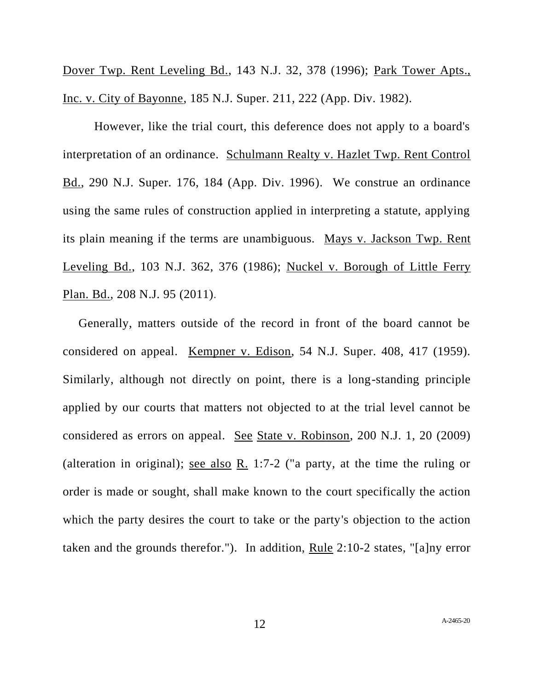Dover Twp. Rent Leveling Bd., 143 N.J. 32, 378 (1996); Park Tower Apts., Inc. v. City of Bayonne, 185 N.J. Super. 211, 222 (App. Div. 1982).

However, like the trial court, this deference does not apply to a board's interpretation of an ordinance. Schulmann Realty v. Hazlet Twp. Rent Control Bd., 290 N.J. Super. 176, 184 (App. Div. 1996). We construe an ordinance using the same rules of construction applied in interpreting a statute, applying its plain meaning if the terms are unambiguous. Mays v. Jackson Twp. Rent Leveling Bd., 103 N.J. 362, 376 (1986); Nuckel v. Borough of Little Ferry Plan. Bd., 208 N.J. 95 (2011).

Generally, matters outside of the record in front of the board cannot be considered on appeal. Kempner v. Edison, 54 N.J. Super. 408, 417 (1959). Similarly, although not directly on point, there is a long-standing principle applied by our courts that matters not objected to at the trial level cannot be considered as errors on appeal. See State v. Robinson, 200 N.J. 1, 20 (2009) (alteration in original); <u>see also R.</u> 1:7-2 ("a party, at the time the ruling or order is made or sought, shall make known to the court specifically the action which the party desires the court to take or the party's objection to the action taken and the grounds therefor."). In addition, Rule 2:10-2 states, "[a]ny error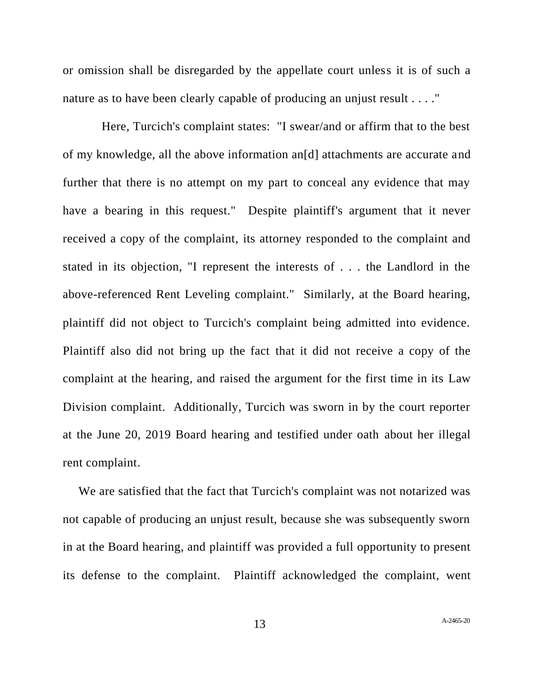or omission shall be disregarded by the appellate court unless it is of such a nature as to have been clearly capable of producing an unjust result . . . ."

 Here, Turcich's complaint states: "I swear/and or affirm that to the best of my knowledge, all the above information an[d] attachments are accurate and further that there is no attempt on my part to conceal any evidence that may have a bearing in this request." Despite plaintiff's argument that it never received a copy of the complaint, its attorney responded to the complaint and stated in its objection, "I represent the interests of . . . the Landlord in the above-referenced Rent Leveling complaint." Similarly, at the Board hearing, plaintiff did not object to Turcich's complaint being admitted into evidence. Plaintiff also did not bring up the fact that it did not receive a copy of the complaint at the hearing, and raised the argument for the first time in its Law Division complaint. Additionally, Turcich was sworn in by the court reporter at the June 20, 2019 Board hearing and testified under oath about her illegal rent complaint.

We are satisfied that the fact that Turcich's complaint was not notarized was not capable of producing an unjust result, because she was subsequently sworn in at the Board hearing, and plaintiff was provided a full opportunity to present its defense to the complaint. Plaintiff acknowledged the complaint, went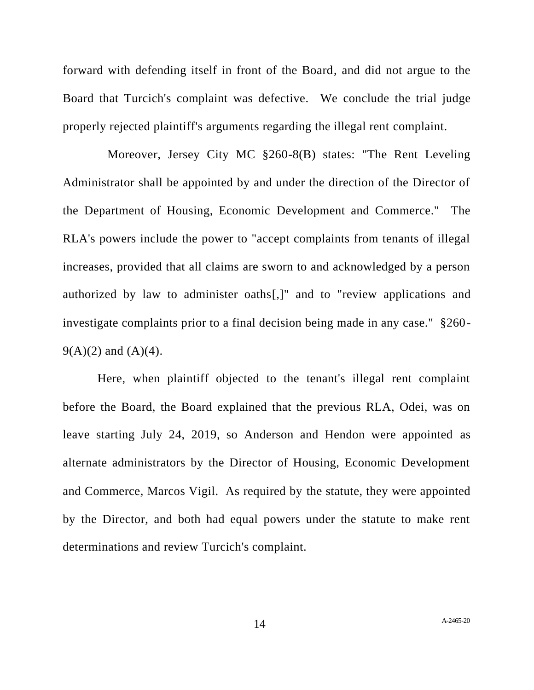forward with defending itself in front of the Board, and did not argue to the Board that Turcich's complaint was defective. We conclude the trial judge properly rejected plaintiff's arguments regarding the illegal rent complaint.

 Moreover, Jersey City MC §260-8(B) states: "The Rent Leveling Administrator shall be appointed by and under the direction of the Director of the Department of Housing, Economic Development and Commerce." The RLA's powers include the power to "accept complaints from tenants of illegal increases, provided that all claims are sworn to and acknowledged by a person authorized by law to administer oaths[,]" and to "review applications and investigate complaints prior to a final decision being made in any case." §260-  $9(A)(2)$  and  $(A)(4)$ .

Here, when plaintiff objected to the tenant's illegal rent complaint before the Board, the Board explained that the previous RLA, Odei, was on leave starting July 24, 2019, so Anderson and Hendon were appointed as alternate administrators by the Director of Housing, Economic Development and Commerce, Marcos Vigil. As required by the statute, they were appointed by the Director, and both had equal powers under the statute to make rent determinations and review Turcich's complaint.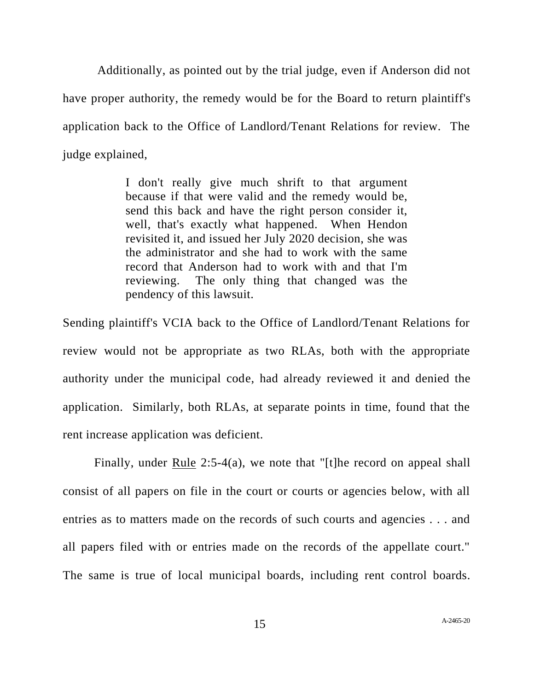Additionally, as pointed out by the trial judge, even if Anderson did not have proper authority, the remedy would be for the Board to return plaintiff's application back to the Office of Landlord/Tenant Relations for review. The judge explained,

> I don't really give much shrift to that argument because if that were valid and the remedy would be, send this back and have the right person consider it, well, that's exactly what happened. When Hendon revisited it, and issued her July 2020 decision, she was the administrator and she had to work with the same record that Anderson had to work with and that I'm reviewing. The only thing that changed was the pendency of this lawsuit.

Sending plaintiff's VCIA back to the Office of Landlord/Tenant Relations for review would not be appropriate as two RLAs, both with the appropriate authority under the municipal code, had already reviewed it and denied the application. Similarly, both RLAs, at separate points in time, found that the rent increase application was deficient.

Finally, under Rule 2:5-4(a), we note that "[t]he record on appeal shall consist of all papers on file in the court or courts or agencies below, with all entries as to matters made on the records of such courts and agencies . . . and all papers filed with or entries made on the records of the appellate court." The same is true of local municipal boards, including rent control boards.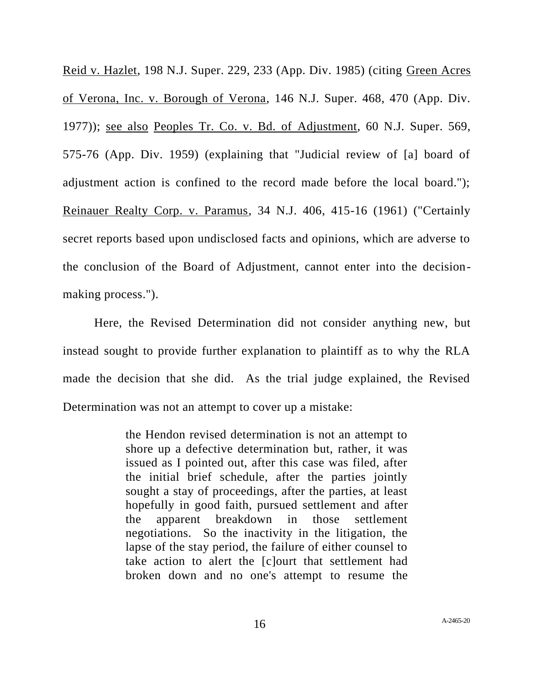Reid v. Hazlet, 198 N.J. Super. 229, 233 (App. Div. 1985) (citing Green Acres of Verona, Inc. v. Borough of Verona, 146 N.J. Super. 468, 470 (App. Div. 1977)); see also Peoples Tr. Co. v. Bd. of Adjustment, 60 N.J. Super. 569, 575-76 (App. Div. 1959) (explaining that "Judicial review of [a] board of adjustment action is confined to the record made before the local board."); Reinauer Realty Corp. v. Paramus, 34 N.J. 406, 415-16 (1961) ("Certainly secret reports based upon undisclosed facts and opinions, which are adverse to the conclusion of the Board of Adjustment, cannot enter into the decisionmaking process.").

Here, the Revised Determination did not consider anything new, but instead sought to provide further explanation to plaintiff as to why the RLA made the decision that she did. As the trial judge explained, the Revised Determination was not an attempt to cover up a mistake:

> the Hendon revised determination is not an attempt to shore up a defective determination but, rather, it was issued as I pointed out, after this case was filed, after the initial brief schedule, after the parties jointly sought a stay of proceedings, after the parties, at least hopefully in good faith, pursued settlement and after the apparent breakdown in those settlement negotiations. So the inactivity in the litigation, the lapse of the stay period, the failure of either counsel to take action to alert the [c]ourt that settlement had broken down and no one's attempt to resume the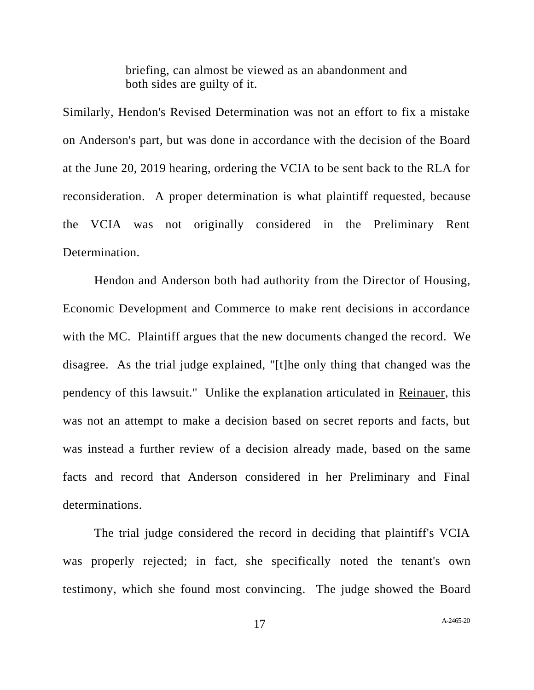briefing, can almost be viewed as an abandonment and both sides are guilty of it.

Similarly, Hendon's Revised Determination was not an effort to fix a mistake on Anderson's part, but was done in accordance with the decision of the Board at the June 20, 2019 hearing, ordering the VCIA to be sent back to the RLA for reconsideration. A proper determination is what plaintiff requested, because the VCIA was not originally considered in the Preliminary Rent Determination.

Hendon and Anderson both had authority from the Director of Housing, Economic Development and Commerce to make rent decisions in accordance with the MC. Plaintiff argues that the new documents changed the record. We disagree. As the trial judge explained, "[t]he only thing that changed was the pendency of this lawsuit." Unlike the explanation articulated in Reinauer, this was not an attempt to make a decision based on secret reports and facts, but was instead a further review of a decision already made, based on the same facts and record that Anderson considered in her Preliminary and Final determinations.

The trial judge considered the record in deciding that plaintiff's VCIA was properly rejected; in fact, she specifically noted the tenant's own testimony, which she found most convincing. The judge showed the Board